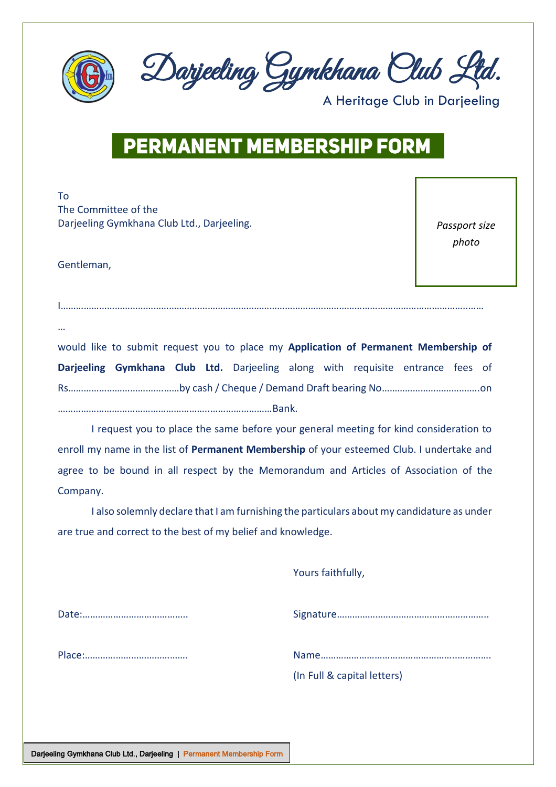

Darjeeling Gymkhana Club Ltd.

A Heritage Club in Darjeeling

# **PERMANENT MEMBERSHIP FORM**

To The Committee of the Darjeeling Gymkhana Club Ltd., Darjeeling.

*Passport size photo*

Gentleman,

|--|

…

would like to submit request you to place my **Application of Permanent Membership of Darjeeling Gymkhana Club Ltd.** Darjeeling along with requisite entrance fees of Rs……………………………….……by cash / Cheque / Demand Draft bearing No………………………………..on …………………………………………………..……………………Bank.

I request you to place the same before your general meeting for kind consideration to enroll my name in the list of **Permanent Membership** of your esteemed Club. I undertake and agree to be bound in all respect by the Memorandum and Articles of Association of the Company.

I also solemnly declare that I am furnishing the particulars about my candidature as under are true and correct to the best of my belief and knowledge.

Yours faithfully,

Date:………………………………….. Signature…………………………………………………..

Place:…………………………………. Name……………………………………………..………….

(In Full & capital letters)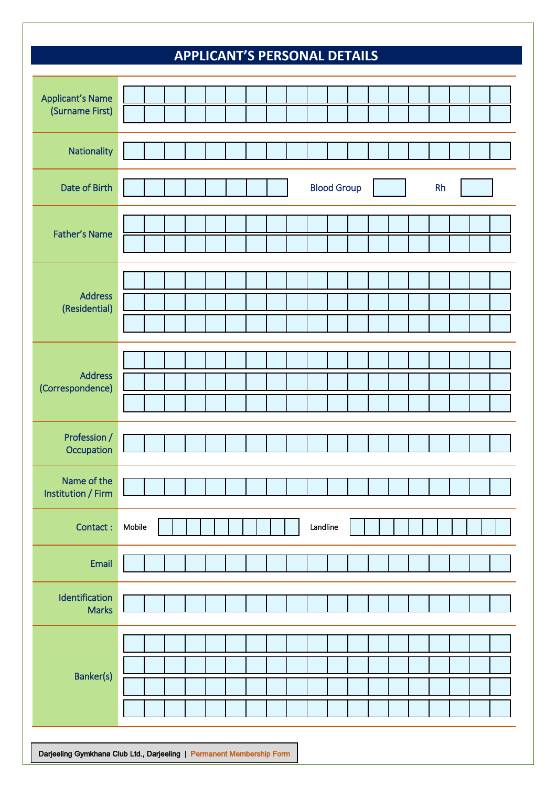# **APPLICANT'S PERSONAL DETAILS**

| <b>Applicant's Name</b><br>(Surname First) |                                 |
|--------------------------------------------|---------------------------------|
| Nationality                                |                                 |
| Date of Birth                              | <b>Blood Group</b><br><b>Rh</b> |
| Father's Name                              |                                 |
| Address<br>(Residential)                   |                                 |
| Address<br>(Correspondence)                |                                 |
| Profession /<br>Occupation                 |                                 |
| Name of the<br>Institution / Firm          |                                 |
| Contact:                                   | Landline<br>Mobile              |
| Email                                      |                                 |
| Identification<br><b>Marks</b>             |                                 |
| Banker(s)                                  |                                 |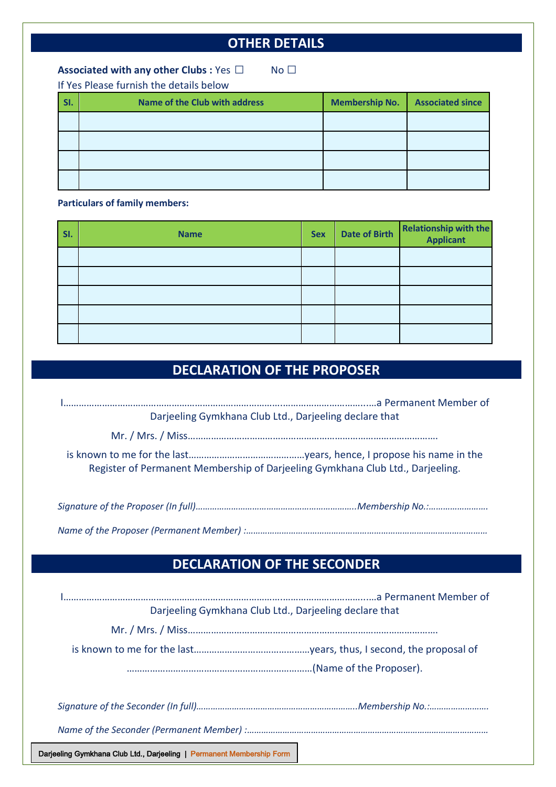# **OTHER DETAILS**

### **Associated with any other Clubs :** Yes □ No □

If Yes Please furnish the details below

| SI. | <b>Name of the Club with address</b> | <b>Membership No.</b> | <b>Associated since</b> |
|-----|--------------------------------------|-----------------------|-------------------------|
|     |                                      |                       |                         |
|     |                                      |                       |                         |
|     |                                      |                       |                         |
|     |                                      |                       |                         |

#### **Particulars of family members:**

| SI. | <b>Name</b> | <b>Sex</b> | <b>Date of Birth</b> | <b>Relationship with the</b><br>Applicant |
|-----|-------------|------------|----------------------|-------------------------------------------|
|     |             |            |                      |                                           |
|     |             |            |                      |                                           |
|     |             |            |                      |                                           |
|     |             |            |                      |                                           |
|     |             |            |                      |                                           |

## **DECLARATION OF THE PROPOSER**

I………………………………………………………………………….…………………………...…a Permanent Member of Darjeeling Gymkhana Club Ltd., Darjeeling declare that Mr. / Mrs. / Miss……………………………………………………………………………………. is known to me for the last………………………………………years, hence, I propose his name in the Register of Permanent Membership of Darjeeling Gymkhana Club Ltd., Darjeeling.

# **DECLARATION OF THE SECONDER**

| Darjeeling Gymkhana Club Ltd., Darjeeling declare that                       |
|------------------------------------------------------------------------------|
|                                                                              |
|                                                                              |
|                                                                              |
|                                                                              |
|                                                                              |
| a aline Organisano Olub I Ad., Designificant i Dessegnent Massic schin Forma |

Darjeeling Gymkhana Club Ltd., Darjeeling | Permanent Membership Form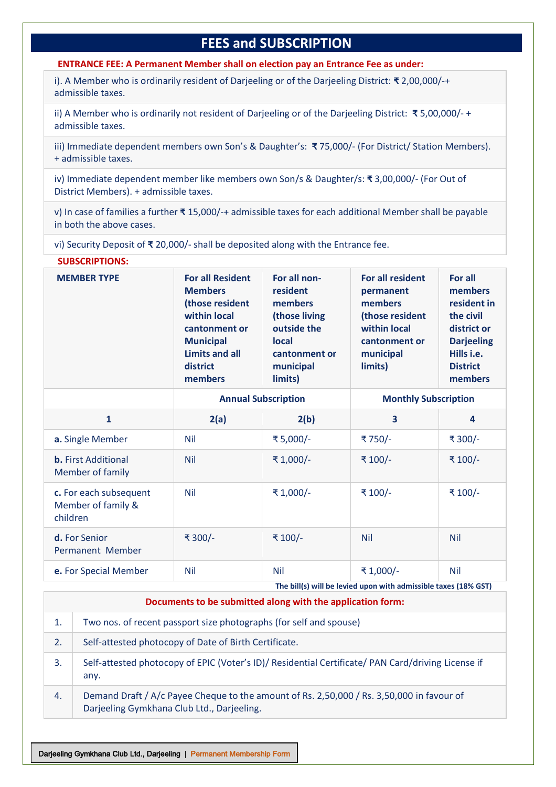### **FEES and SUBSCRIPTION**

**ENTRANCE FEE: A Permanent Member shall on election pay an Entrance Fee as under:**

i). A Member who is ordinarily resident of Darjeeling or of the Darjeeling District: **₹** 2,00,000/-+ admissible taxes.

ii) A Member who is ordinarily not resident of Darjeeling or of the Darjeeling District: **₹** 5,00,000/- + admissible taxes.

iii) Immediate dependent members own Son's & Daughter's: **₹** 75,000/- (For District/ Station Members). + admissible taxes.

iv) Immediate dependent member like members own Son/s & Daughter/s: **₹** 3,00,000/- (For Out of District Members). + admissible taxes.

v) In case of families a further **₹** 15,000/-+ admissible taxes for each additional Member shall be payable in both the above cases.

vi) Security Deposit of **₹** 20,000/- shall be deposited along with the Entrance fee.

| <b>SUBSCRIPTIONS:</b>                                    |                                                                                                                                                                   |                                                                                                                              |                                                                                                                             |                                                                                                                                |
|----------------------------------------------------------|-------------------------------------------------------------------------------------------------------------------------------------------------------------------|------------------------------------------------------------------------------------------------------------------------------|-----------------------------------------------------------------------------------------------------------------------------|--------------------------------------------------------------------------------------------------------------------------------|
| <b>MEMBER TYPE</b>                                       | <b>For all Resident</b><br><b>Members</b><br>(those resident<br>within local<br>cantonment or<br><b>Municipal</b><br><b>Limits and all</b><br>district<br>members | For all non-<br>resident<br>members<br>(those living<br>outside the<br><b>local</b><br>cantonment or<br>municipal<br>limits) | <b>For all resident</b><br>permanent<br>members<br>(those resident<br>within local<br>cantonment or<br>municipal<br>limits) | For all<br>members<br>resident in<br>the civil<br>district or<br><b>Darjeeling</b><br>Hills i.e.<br><b>District</b><br>members |
|                                                          | <b>Annual Subscription</b>                                                                                                                                        |                                                                                                                              | <b>Monthly Subscription</b>                                                                                                 |                                                                                                                                |
| 1                                                        | 2(a)                                                                                                                                                              | 2(b)                                                                                                                         | 3                                                                                                                           | 4                                                                                                                              |
| a. Single Member                                         | <b>Nil</b>                                                                                                                                                        | ₹5,000/-                                                                                                                     | ₹750/-                                                                                                                      | ₹ 300/-                                                                                                                        |
| <b>b.</b> First Additional<br>Member of family           | <b>Nil</b>                                                                                                                                                        | ₹1,000/-                                                                                                                     | ₹ 100/-                                                                                                                     | ₹ 100/-                                                                                                                        |
| c. For each subsequent<br>Member of family &<br>children | <b>Nil</b>                                                                                                                                                        | ₹1,000/-                                                                                                                     | ₹ 100/-                                                                                                                     | ₹ 100/-                                                                                                                        |
| d. For Senior<br>Permanent Member                        | ₹ 300/-                                                                                                                                                           | ₹100/-                                                                                                                       | <b>Nil</b>                                                                                                                  | <b>Nil</b>                                                                                                                     |
| e. For Special Member                                    | <b>Nil</b>                                                                                                                                                        | <b>Nil</b>                                                                                                                   | ₹1,000/-                                                                                                                    | <b>Nil</b>                                                                                                                     |

|    | The bill(s) will be levied upon with admissible taxes (18% GST)                                                                         |
|----|-----------------------------------------------------------------------------------------------------------------------------------------|
|    | Documents to be submitted along with the application form:                                                                              |
| 1. | Two nos. of recent passport size photographs (for self and spouse)                                                                      |
| 2. | Self-attested photocopy of Date of Birth Certificate.                                                                                   |
| 3. | Self-attested photocopy of EPIC (Voter's ID)/ Residential Certificate/ PAN Card/driving License if<br>any.                              |
| 4. | Demand Draft / A/c Payee Cheque to the amount of Rs. 2,50,000 / Rs. 3,50,000 in favour of<br>Darjeeling Gymkhana Club Ltd., Darjeeling. |